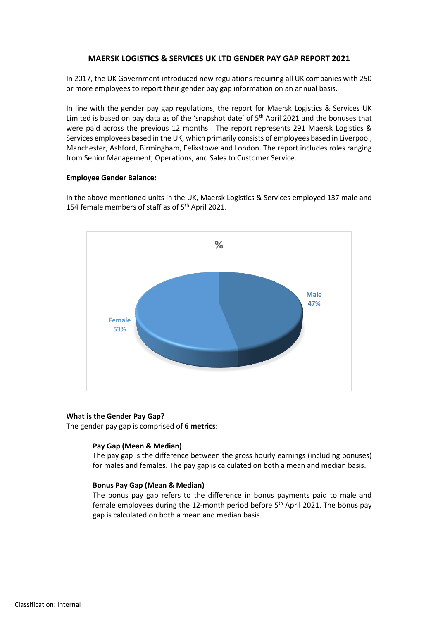# **MAERSK LOGISTICS & SERVICES UK LTD GENDER PAY GAP REPORT 2021**

In 2017, the UK Government introduced new regulations requiring all UK companies with 250 or more employees to report their gender pay gap information on an annual basis.

In line with the gender pay gap regulations, the report for Maersk Logistics & Services UK Limited is based on pay data as of the 'snapshot date' of  $5<sup>th</sup>$  April 2021 and the bonuses that were paid across the previous 12 months. The report represents 291 Maersk Logistics & Services employees based in the UK, which primarily consists of employees based in Liverpool, Manchester, Ashford, Birmingham, Felixstowe and London. The report includes roles ranging from Senior Management, Operations, and Sales to Customer Service.

# **Employee Gender Balance:**

In the above-mentioned units in the UK, Maersk Logistics & Services employed 137 male and 154 female members of staff as of 5<sup>th</sup> April 2021.



#### **What is the Gender Pay Gap?**

The gender pay gap is comprised of **6 metrics**:

#### **Pay Gap (Mean & Median)**

The pay gap is the difference between the gross hourly earnings (including bonuses) for males and females. The pay gap is calculated on both a mean and median basis.

#### **Bonus Pay Gap (Mean & Median)**

The bonus pay gap refers to the difference in bonus payments paid to male and female employees during the 12-month period before 5<sup>th</sup> April 2021. The bonus pay gap is calculated on both a mean and median basis.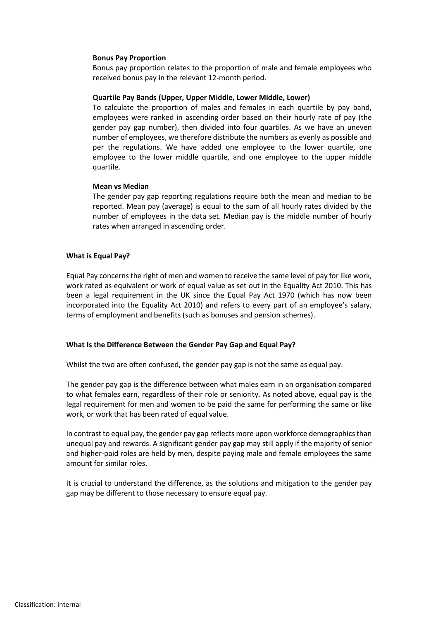#### **Bonus Pay Proportion**

Bonus pay proportion relates to the proportion of male and female employees who received bonus pay in the relevant 12-month period.

### **Quartile Pay Bands (Upper, Upper Middle, Lower Middle, Lower)**

To calculate the proportion of males and females in each quartile by pay band, employees were ranked in ascending order based on their hourly rate of pay (the gender pay gap number), then divided into four quartiles. As we have an uneven number of employees, we therefore distribute the numbers as evenly as possible and per the regulations. We have added one employee to the lower quartile, one employee to the lower middle quartile, and one employee to the upper middle quartile.

### **Mean vs Median**

The gender pay gap reporting regulations require both the mean and median to be reported. Mean pay (average) is equal to the sum of all hourly rates divided by the number of employees in the data set. Median pay is the middle number of hourly rates when arranged in ascending order.

### **What is Equal Pay?**

Equal Pay concerns the right of men and women to receive the same level of pay for like work, work rated as equivalent or work of equal value as set out in the Equality Act 2010. This has been a legal requirement in the UK since the Equal Pay Act 1970 (which has now been incorporated into the Equality Act 2010) and refers to every part of an employee's salary, terms of employment and benefits (such as bonuses and pension schemes).

# **What Is the Difference Between the Gender Pay Gap and Equal Pay?**

Whilst the two are often confused, the gender pay gap is not the same as equal pay.

The gender pay gap is the difference between what males earn in an organisation compared to what females earn, regardless of their role or seniority. As noted above, equal pay is the legal requirement for men and women to be paid the same for performing the same or like work, or work that has been rated of equal value.

In contrast to equal pay, the gender pay gap reflects more upon workforce demographicsthan unequal pay and rewards. A significant gender pay gap may still apply if the majority of senior and higher-paid roles are held by men, despite paying male and female employees the same amount for similar roles.

It is crucial to understand the difference, as the solutions and mitigation to the gender pay gap may be different to those necessary to ensure equal pay.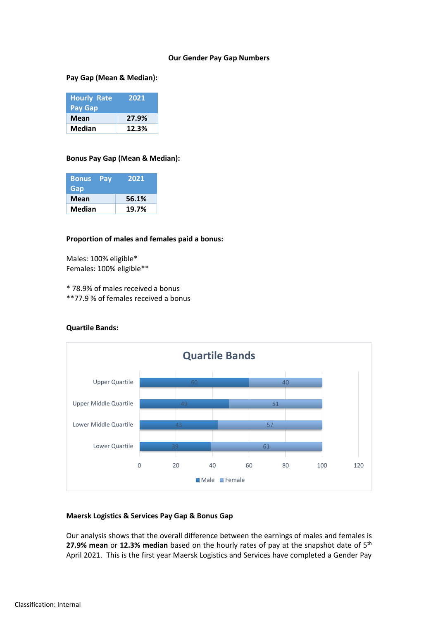# **Our Gender Pay Gap Numbers**

### **Pay Gap (Mean & Median):**

| <b>Hourly Rate</b><br>Pay Gap | 2021  |
|-------------------------------|-------|
| Mean                          | 27.9% |
| Median                        | 12.3% |

# **Bonus Pay Gap (Mean & Median):**

| <b>Bonus</b><br>Gap | Pay | 2021  |
|---------------------|-----|-------|
| Mean                |     | 56.1% |
| Median              |     | 19.7% |

### **Proportion of males and females paid a bonus:**

Males: 100% eligible\* Females: 100% eligible\*\*

\* 78.9% of males received a bonus

\*\*77.9 % of females received a bonus

# **Quartile Bands:**



# **Maersk Logistics & Services Pay Gap & Bonus Gap**

Our analysis shows that the overall difference between the earnings of males and females is **27.9% mean** or 12.3% median based on the hourly rates of pay at the snapshot date of 5<sup>th</sup> April 2021. This is the first year Maersk Logistics and Services have completed a Gender Pay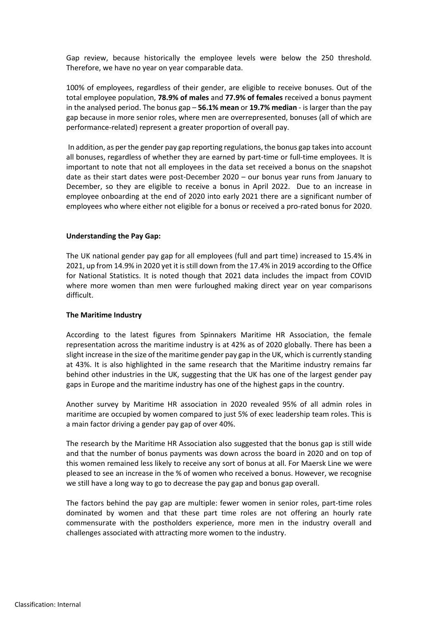Gap review, because historically the employee levels were below the 250 threshold. Therefore, we have no year on year comparable data.

100% of employees, regardless of their gender, are eligible to receive bonuses. Out of the total employee population, **78.9% of males** and **77.9% of females** received a bonus payment in the analysed period. The bonus gap – **56.1% mean** or **19.7% median** - is larger than the pay gap because in more senior roles, where men are overrepresented, bonuses (all of which are performance-related) represent a greater proportion of overall pay.

In addition, as per the gender pay gap reporting regulations, the bonus gap takes into account all bonuses, regardless of whether they are earned by part-time or full-time employees. It is important to note that not all employees in the data set received a bonus on the snapshot date as their start dates were post-December 2020 – our bonus year runs from January to December, so they are eligible to receive a bonus in April 2022. Due to an increase in employee onboarding at the end of 2020 into early 2021 there are a significant number of employees who where either not eligible for a bonus or received a pro-rated bonus for 2020.

# **Understanding the Pay Gap:**

The UK national gender pay gap for all employees (full and part time) increased to 15.4% in 2021, up from 14.9% in 2020 yet it is still down from the 17.4% in 2019 according to the Office for National Statistics. It is noted though that 2021 data includes the impact from COVID where more women than men were furloughed making direct year on year comparisons difficult.

#### **The Maritime Industry**

According to the latest figures from Spinnakers Maritime HR Association, the female representation across the maritime industry is at 42% as of 2020 globally. There has been a slight increase in the size of the maritime gender pay gap in the UK, which is currently standing at 43%. It is also highlighted in the same research that the Maritime industry remains far behind other industries in the UK, suggesting that the UK has one of the largest gender pay gaps in Europe and the maritime industry has one of the highest gaps in the country.

Another survey by Maritime HR association in 2020 revealed 95% of all admin roles in maritime are occupied by women compared to just 5% of exec leadership team roles. This is a main factor driving a gender pay gap of over 40%.

The research by the Maritime HR Association also suggested that the bonus gap is still wide and that the number of bonus payments was down across the board in 2020 and on top of this women remained less likely to receive any sort of bonus at all. For Maersk Line we were pleased to see an increase in the % of women who received a bonus. However, we recognise we still have a long way to go to decrease the pay gap and bonus gap overall.

The factors behind the pay gap are multiple: fewer women in senior roles, part-time roles dominated by women and that these part time roles are not offering an hourly rate commensurate with the postholders experience, more men in the industry overall and challenges associated with attracting more women to the industry.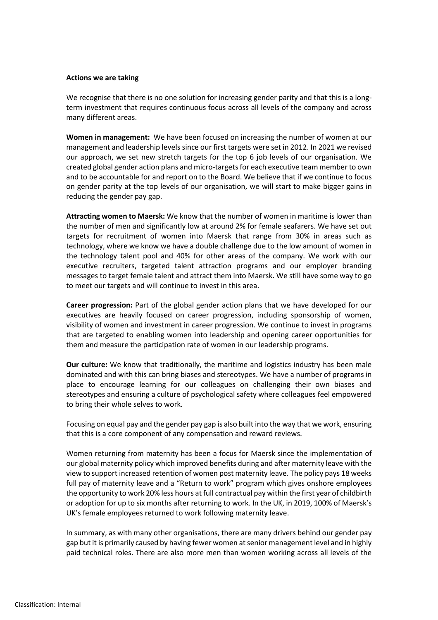#### **Actions we are taking**

We recognise that there is no one solution for increasing gender parity and that this is a longterm investment that requires continuous focus across all levels of the company and across many different areas.

**Women in management:** We have been focused on increasing the number of women at our management and leadership levels since our first targets were set in 2012. In 2021 we revised our approach, we set new stretch targets for the top 6 job levels of our organisation. We created global gender action plans and micro-targets for each executive team member to own and to be accountable for and report on to the Board. We believe that if we continue to focus on gender parity at the top levels of our organisation, we will start to make bigger gains in reducing the gender pay gap.

**Attracting women to Maersk:** We know that the number of women in maritime is lower than the number of men and significantly low at around 2% for female seafarers. We have set out targets for recruitment of women into Maersk that range from 30% in areas such as technology, where we know we have a double challenge due to the low amount of women in the technology talent pool and 40% for other areas of the company. We work with our executive recruiters, targeted talent attraction programs and our employer branding messages to target female talent and attract them into Maersk. We still have some way to go to meet our targets and will continue to invest in this area.

**Career progression:** Part of the global gender action plans that we have developed for our executives are heavily focused on career progression, including sponsorship of women, visibility of women and investment in career progression. We continue to invest in programs that are targeted to enabling women into leadership and opening career opportunities for them and measure the participation rate of women in our leadership programs.

**Our culture:** We know that traditionally, the maritime and logistics industry has been male dominated and with this can bring biases and stereotypes. We have a number of programs in place to encourage learning for our colleagues on challenging their own biases and stereotypes and ensuring a culture of psychological safety where colleagues feel empowered to bring their whole selves to work.

Focusing on equal pay and the gender pay gap is also built into the way that we work, ensuring that this is a core component of any compensation and reward reviews.

Women returning from maternity has been a focus for Maersk since the implementation of our global maternity policy which improved benefits during and after maternity leave with the view to support increased retention of women post maternity leave. The policy pays 18 weeks full pay of maternity leave and a "Return to work" program which gives onshore employees the opportunity to work 20% less hours at full contractual pay within the first year of childbirth or adoption for up to six months after returning to work. In the UK, in 2019, 100% of Maersk's UK's female employees returned to work following maternity leave.

In summary, as with many other organisations, there are many drivers behind our gender pay gap but it is primarily caused by having fewer women at senior management level and in highly paid technical roles. There are also more men than women working across all levels of the